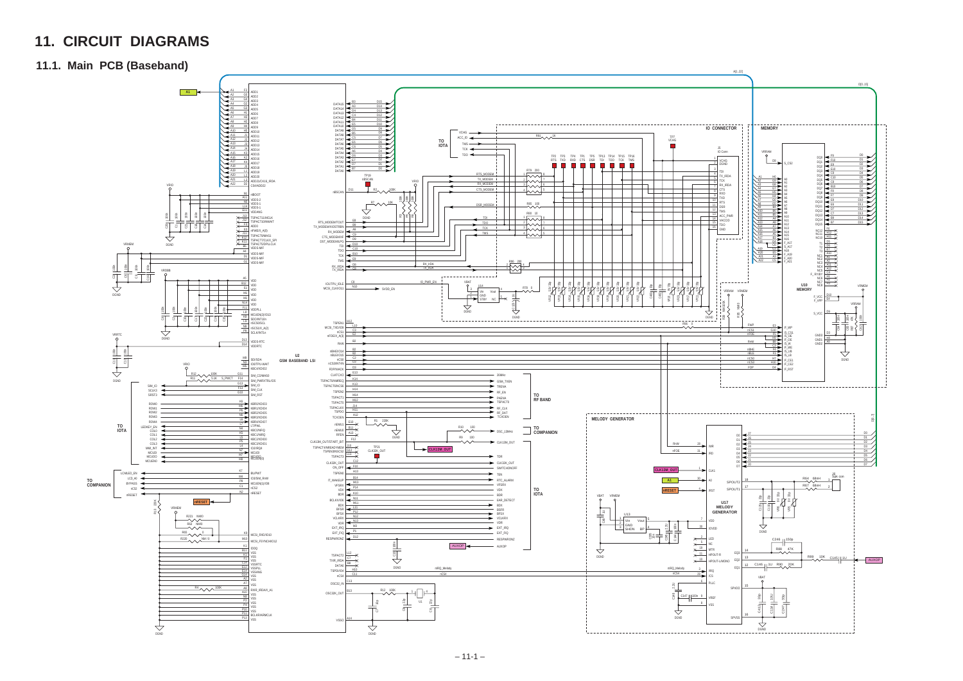# **11. CIRCUIT DIAGRAMS**

#### **11.1. Main PCB (Baseband)**

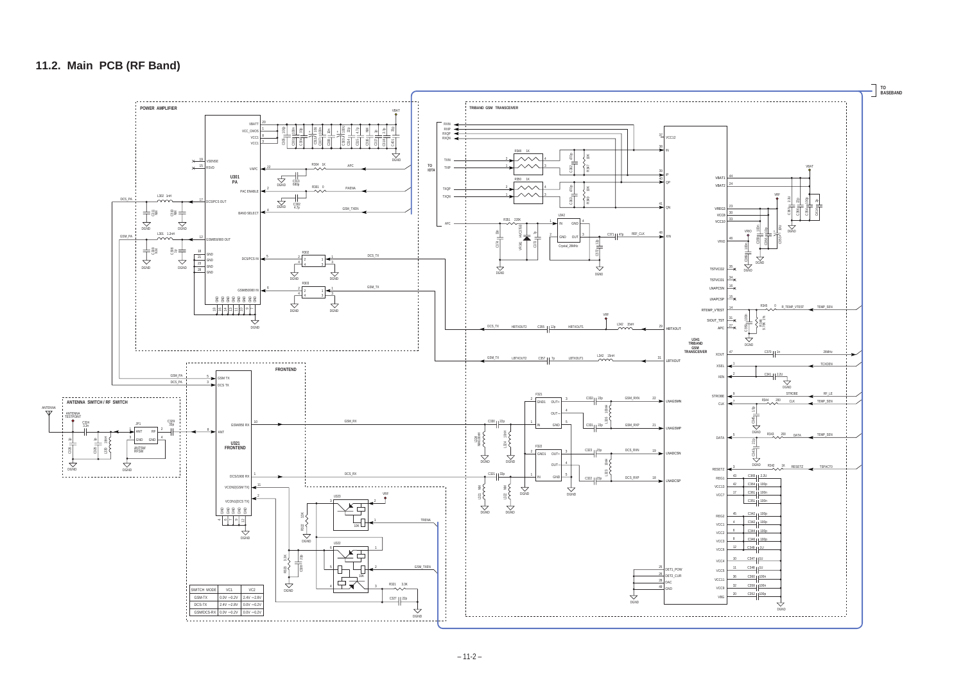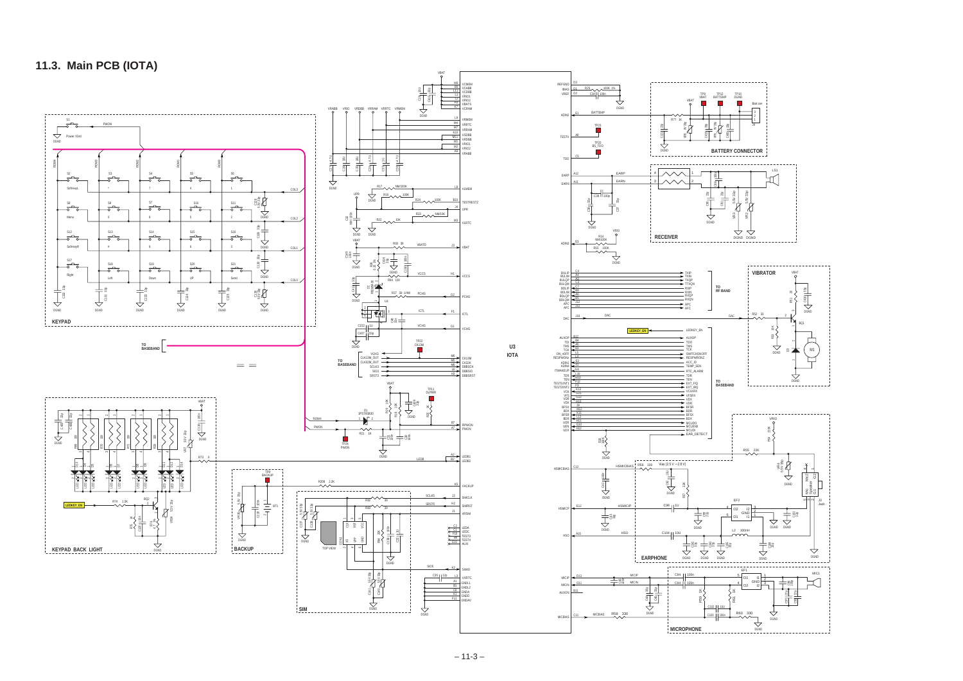### **11.3. Main PCB (IOTA)**

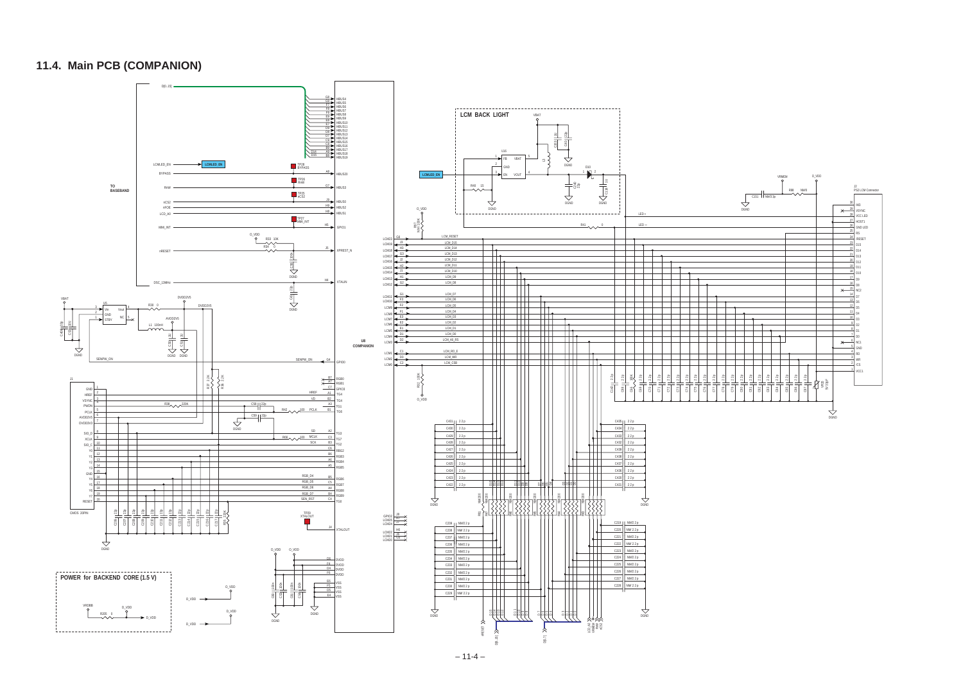### **11.4. Main PCB (COMPANION)**

– 11-4 –

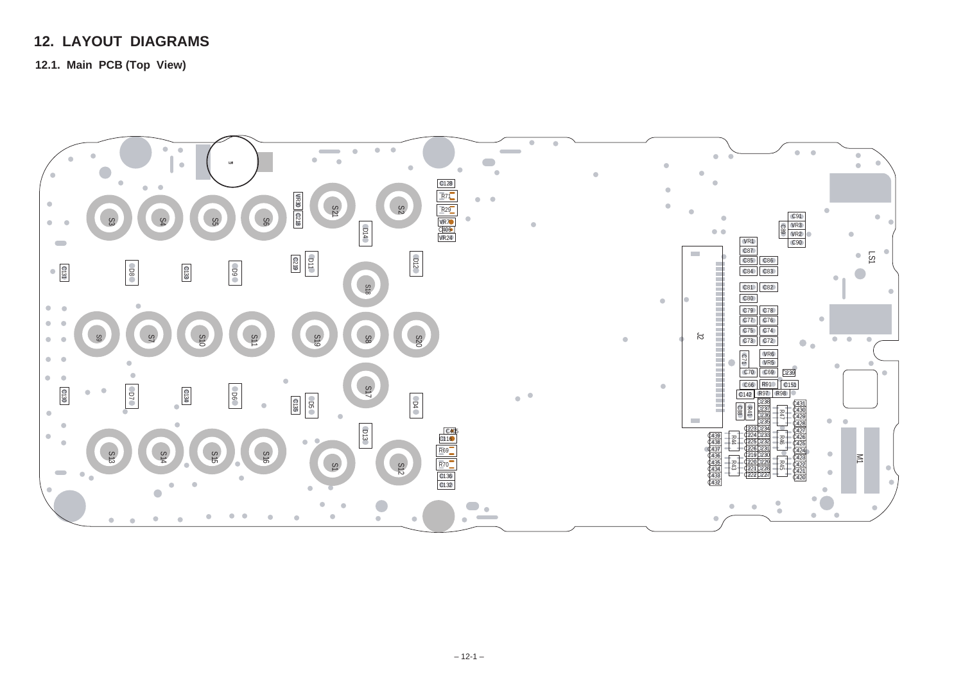## **12. LAYOUT DIAGRAMS**

**12.1. Main PCB (Top View)**